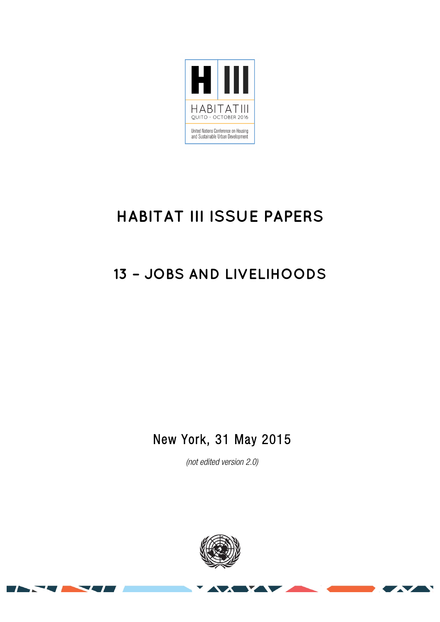

# **HABITAT III ISSUE PAPERS**

## **13 – JOBS AND LIVELIHOODS**

## New York, 31 May 2015

*(not edited version* 2.0*)* 

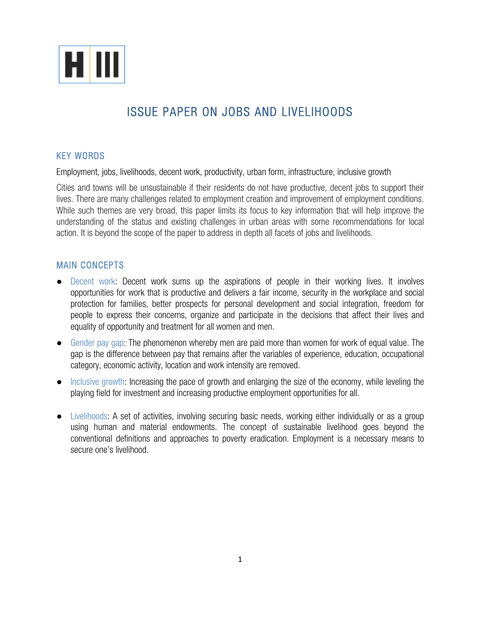

### ISSUE PAPER ON JOBS AND LIVELIHOODS

#### KEY WORDS

Employment, jobs, livelihoods, decent work, productivity, urban form, infrastructure, inclusive growth

Cities and towns will be unsustainable if their residents do not have productive, decent jobs to support their lives. There are many challenges related to employment creation and improvement of employment conditions. While such themes are very broad, this paper limits its focus to key information that will help improve the understanding of the status and existing challenges in urban areas with some recommendations for local action. It is beyond the scope of the paper to address in depth all facets of jobs and livelihoods.

#### MAIN CONCEPTS

- Decent work: Decent work sums up the aspirations of people in their working lives. It involves opportunities for work that is productive and delivers a fair income, security in the workplace and social protection for families, better prospects for personal development and social integration, freedom for people to express their concerns, organize and participate in the decisions that affect their lives and equality of opportunity and treatment for all women and men.
- Gender pay gap: The phenomenon whereby men are paid more than women for work of equal value. The gap is the difference between pay that remains after the variables of experience, education, occupational category, economic activity, location and work intensity are removed.
- Inclusive growth: Increasing the pace of growth and enlarging the size of the economy, while leveling the playing field for investment and increasing productive employment opportunities for all.
- Livelihoods: A set of activities, involving securing basic needs, working either individually or as a group using human and material endowments. The concept of sustainable livelihood goes beyond the conventional definitions and approaches to poverty eradication. Employment is a necessary means to secure one's livelihood.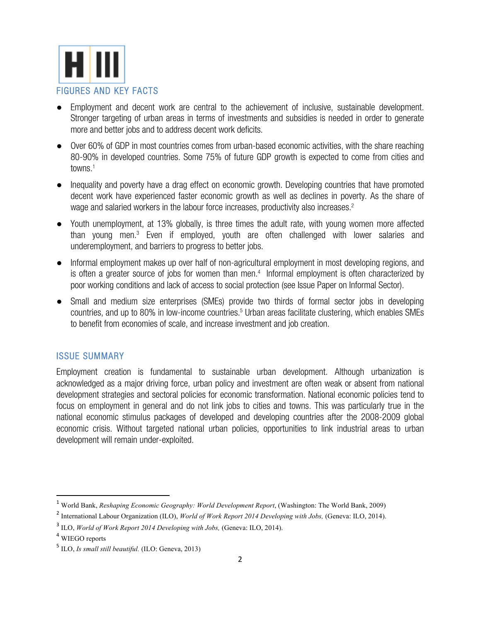

- Employment and decent work are central to the achievement of inclusive, sustainable development. Stronger targeting of urban areas in terms of investments and subsidies is needed in order to generate more and better jobs and to address decent work deficits.
- Over 60% of GDP in most countries comes from urban-based economic activities, with the share reaching 80-90% in developed countries. Some 75% of future GDP growth is expected to come from cities and towns.<sup>1</sup>
- Inequality and poverty have a drag effect on economic growth. Developing countries that have promoted decent work have experienced faster economic growth as well as declines in poverty. As the share of wage and salaried workers in the labour force increases, productivity also increases.<sup>2</sup>
- Youth unemployment, at 13% globally, is three times the adult rate, with young women more affected than young men.3 Even if employed, youth are often challenged with lower salaries and underemployment, and barriers to progress to better jobs.
- Informal employment makes up over half of non-agricultural employment in most developing regions, and is often a greater source of jobs for women than men.<sup>4</sup> Informal employment is often characterized by poor working conditions and lack of access to social protection (see Issue Paper on Informal Sector).
- Small and medium size enterprises (SMEs) provide two thirds of formal sector jobs in developing countries, and up to 80% in low-income countries.<sup>5</sup> Urban areas facilitate clustering, which enables SMEs to benefit from economies of scale, and increase investment and job creation.

#### ISSUE SUMMARY

Employment creation is fundamental to sustainable urban development. Although urbanization is acknowledged as a major driving force, urban policy and investment are often weak or absent from national development strategies and sectoral policies for economic transformation. National economic policies tend to focus on employment in general and do not link jobs to cities and towns. This was particularly true in the national economic stimulus packages of developed and developing countries after the 2008-2009 global economic crisis. Without targeted national urban policies, opportunities to link industrial areas to urban development will remain under-exploited.

 

<sup>1</sup> World Bank, *Reshaping Economic Geography: World Development Report*, (Washington: The World Bank, 2009)

<sup>2</sup> International Labour Organization (ILO), *World of Work Report 2014 Developing with Jobs,* (Geneva: ILO, 2014).

<sup>3</sup> ILO, *World of Work Report 2014 Developing with Jobs,* (Geneva: ILO, 2014).

<sup>4</sup> WIEGO reports

<sup>5</sup> ILO, *Is small still beautiful.* (ILO: Geneva, 2013)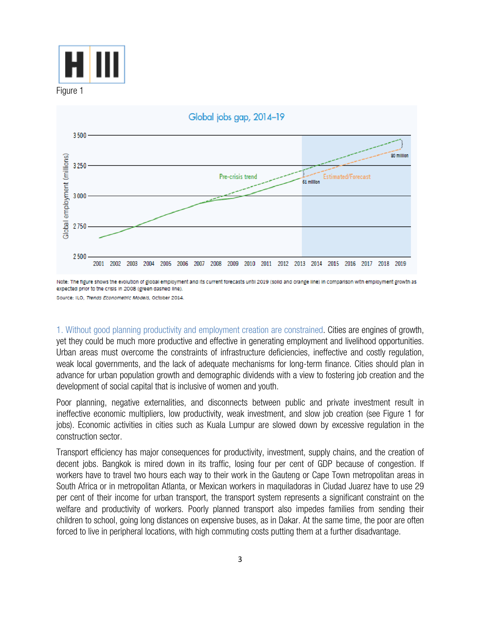



Note: The figure shows the evolution of global employment and its current forecasts until 2019 (solid and orange line) in comparison with employment growth as expected prior to the crisis in 2008 (green dashed line).

Source: ILO. Trends Econometric Models, October 2014

1. Without good planning productivity and employment creation are constrained. Cities are engines of growth, yet they could be much more productive and effective in generating employment and livelihood opportunities. Urban areas must overcome the constraints of infrastructure deficiencies, ineffective and costly regulation, weak local governments, and the lack of adequate mechanisms for long-term finance. Cities should plan in advance for urban population growth and demographic dividends with a view to fostering job creation and the development of social capital that is inclusive of women and youth.

Poor planning, negative externalities, and disconnects between public and private investment result in ineffective economic multipliers, low productivity, weak investment, and slow job creation (see Figure 1 for jobs). Economic activities in cities such as Kuala Lumpur are slowed down by excessive regulation in the construction sector.

Transport efficiency has major consequences for productivity, investment, supply chains, and the creation of decent jobs. Bangkok is mired down in its traffic, losing four per cent of GDP because of congestion. If workers have to travel two hours each way to their work in the Gauteng or Cape Town metropolitan areas in South Africa or in metropolitan Atlanta, or Mexican workers in maquiladoras in Ciudad Juarez have to use 29 per cent of their income for urban transport, the transport system represents a significant constraint on the welfare and productivity of workers. Poorly planned transport also impedes families from sending their children to school, going long distances on expensive buses, as in Dakar. At the same time, the poor are often forced to live in peripheral locations, with high commuting costs putting them at a further disadvantage.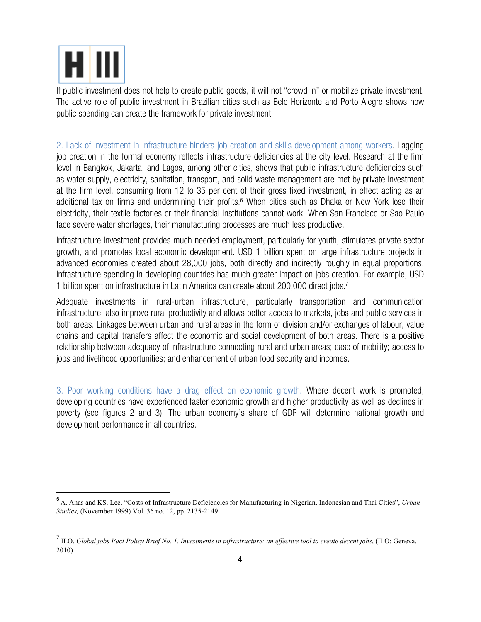

<u> 1989 - Jan Samuel Barbara, margaret e</u>

If public investment does not help to create public goods, it will not "crowd in" or mobilize private investment. The active role of public investment in Brazilian cities such as Belo Horizonte and Porto Alegre shows how public spending can create the framework for private investment.

2. Lack of Investment in infrastructure hinders job creation and skills development among workers. Lagging job creation in the formal economy reflects infrastructure deficiencies at the city level. Research at the firm level in Bangkok, Jakarta, and Lagos, among other cities, shows that public infrastructure deficiencies such as water supply, electricity, sanitation, transport, and solid waste management are met by private investment at the firm level, consuming from 12 to 35 per cent of their gross fixed investment, in effect acting as an additional tax on firms and undermining their profits.<sup>6</sup> When cities such as Dhaka or New York lose their electricity, their textile factories or their financial institutions cannot work. When San Francisco or Sao Paulo face severe water shortages, their manufacturing processes are much less productive.

Infrastructure investment provides much needed employment, particularly for youth, stimulates private sector growth, and promotes local economic development. USD 1 billion spent on large infrastructure projects in advanced economies created about 28,000 jobs, both directly and indirectly roughly in equal proportions. Infrastructure spending in developing countries has much greater impact on jobs creation. For example, USD 1 billion spent on infrastructure in Latin America can create about 200,000 direct jobs.7

Adequate investments in rural-urban infrastructure, particularly transportation and communication infrastructure, also improve rural productivity and allows better access to markets, jobs and public services in both areas. Linkages between urban and rural areas in the form of division and/or exchanges of labour, value chains and capital transfers affect the economic and social development of both areas. There is a positive relationship between adequacy of infrastructure connecting rural and urban areas; ease of mobility; access to jobs and livelihood opportunities; and enhancement of urban food security and incomes.

3. Poor working conditions have a drag effect on economic growth. Where decent work is promoted, developing countries have experienced faster economic growth and higher productivity as well as declines in poverty (see figures 2 and 3). The urban economy's share of GDP will determine national growth and development performance in all countries.

<sup>6</sup> A. Anas and KS. Lee, "Costs of Infrastructure Deficiencies for Manufacturing in Nigerian, Indonesian and Thai Cities", *Urban Studies,* (November 1999) Vol. 36 no. 12, pp. 2135-2149

<sup>7</sup> ILO, *Global jobs Pact Policy Brief No. 1. Investments in infrastructure: an effective tool to create decent jobs*, (ILO: Geneva, 2010)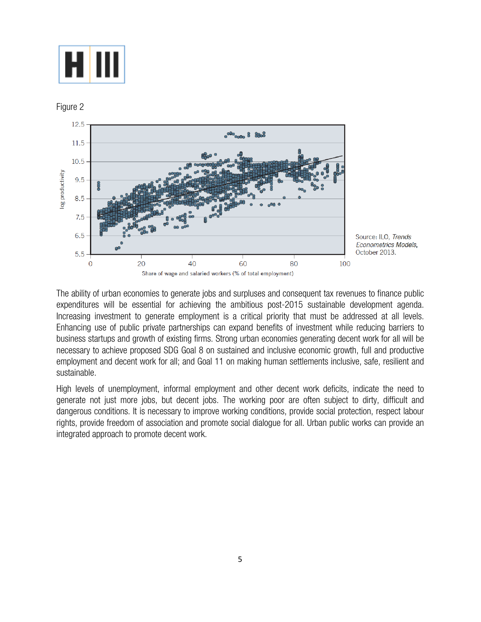

Figure 2



Source: ILO, Trends Econometrics Models, October 2013.

The ability of urban economies to generate jobs and surpluses and consequent tax revenues to finance public expenditures will be essential for achieving the ambitious post-2015 sustainable development agenda. Increasing investment to generate employment is a critical priority that must be addressed at all levels. Enhancing use of public private partnerships can expand benefits of investment while reducing barriers to business startups and growth of existing firms. Strong urban economies generating decent work for all will be necessary to achieve proposed SDG Goal 8 on sustained and inclusive economic growth, full and productive employment and decent work for all; and Goal 11 on making human settlements inclusive, safe, resilient and sustainable.

High levels of unemployment, informal employment and other decent work deficits, indicate the need to generate not just more jobs, but decent jobs. The working poor are often subject to dirty, difficult and dangerous conditions. It is necessary to improve working conditions, provide social protection, respect labour rights, provide freedom of association and promote social dialogue for all. Urban public works can provide an integrated approach to promote decent work.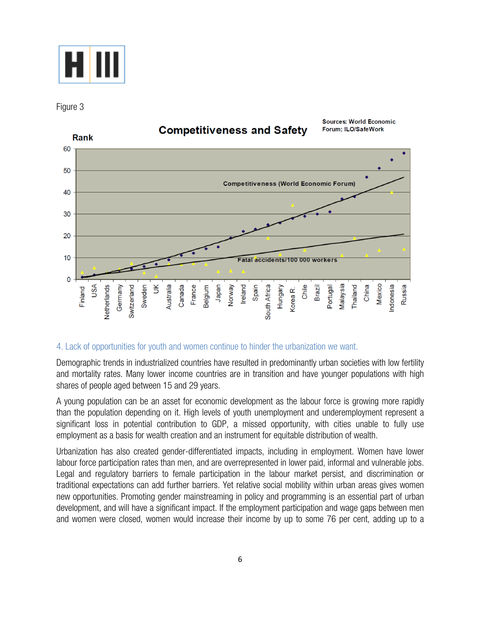

Figure 3



### **Competitiveness and Safety**

**Sources: World Economic** 

#### 4. Lack of opportunities for youth and women continue to hinder the urbanization we want.

Demographic trends in industrialized countries have resulted in predominantly urban societies with low fertility and mortality rates. Many lower income countries are in transition and have younger populations with high shares of people aged between 15 and 29 years.

A young population can be an asset for economic development as the labour force is growing more rapidly than the population depending on it. High levels of youth unemployment and underemployment represent a significant loss in potential contribution to GDP, a missed opportunity, with cities unable to fully use employment as a basis for wealth creation and an instrument for equitable distribution of wealth.

Urbanization has also created gender-differentiated impacts, including in employment. Women have lower labour force participation rates than men, and are overrepresented in lower paid, informal and vulnerable jobs. Legal and regulatory barriers to female participation in the labour market persist, and discrimination or traditional expectations can add further barriers. Yet relative social mobility within urban areas gives women new opportunities. Promoting gender mainstreaming in policy and programming is an essential part of urban development, and will have a significant impact. If the employment participation and wage gaps between men and women were closed, women would increase their income by up to some 76 per cent, adding up to a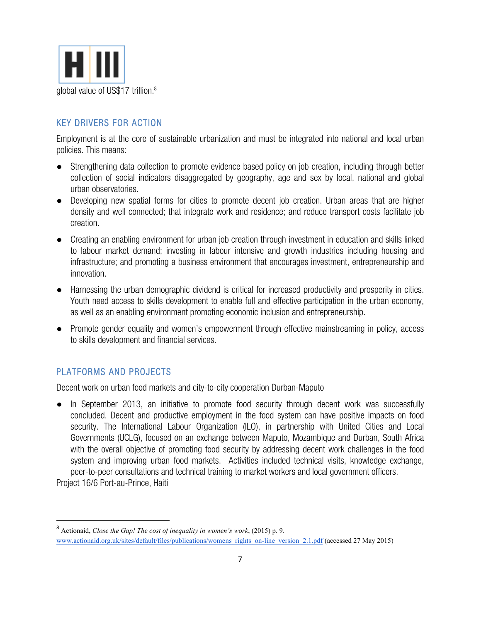

#### KEY DRIVERS FOR ACTION

Employment is at the core of sustainable urbanization and must be integrated into national and local urban policies. This means:

- Strengthening data collection to promote evidence based policy on job creation, including through better collection of social indicators disaggregated by geography, age and sex by local, national and global urban observatories.
- Developing new spatial forms for cities to promote decent job creation. Urban areas that are higher density and well connected; that integrate work and residence; and reduce transport costs facilitate job creation.
- Creating an enabling environment for urban job creation through investment in education and skills linked to labour market demand; investing in labour intensive and growth industries including housing and infrastructure; and promoting a business environment that encourages investment, entrepreneurship and innovation.
- Harnessing the urban demographic dividend is critical for increased productivity and prosperity in cities. Youth need access to skills development to enable full and effective participation in the urban economy, as well as an enabling environment promoting economic inclusion and entrepreneurship.
- Promote gender equality and women's empowerment through effective mainstreaming in policy, access to skills development and financial services.

#### PLATFORMS AND PROJECTS

Decent work on urban food markets and city-to-city cooperation Durban-Maputo

In September 2013, an initiative to promote food security through decent work was successfully concluded. Decent and productive employment in the food system can have positive impacts on food security. The International Labour Organization (ILO), in partnership with United Cities and Local Governments (UCLG), focused on an exchange between Maputo, Mozambique and Durban, South Africa with the overall objective of promoting food security by addressing decent work challenges in the food system and improving urban food markets. Activities included technical visits, knowledge exchange, peer-to-peer consultations and technical training to market workers and local government officers.

Project 16/6 Port-au-Prince, Haiti

<sup>8</sup> Actionaid, *Close the Gap! The cost of inequality in women's work*, (2015) p. 9. www.actionaid.org.uk/sites/default/files/publications/womens\_rights\_on-line\_version\_2.1.pdf (accessed 27 May 2015)